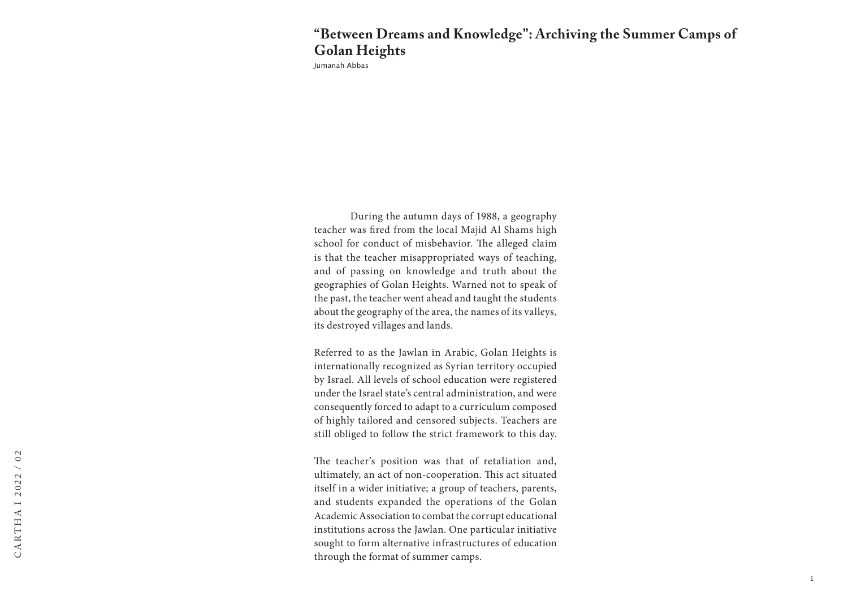## **"Between Dreams and Knowledge": Archiving the Summer Camps of Golan Heights**

Jumanah Abbas

During the autumn days of 1988, a geography teacher was fired from the local Majid Al Shams high school for conduct of misbehavior. The alleged claim is that the teacher misappropriated ways of teaching, and of passing on knowledge and truth about the geographies of Golan Heights. Warned not to speak of the past, the teacher went ahead and taught the students about the geography of the area, the names of its valleys, its destroyed villages and lands.

Referred to as the Jawlan in Arabic, Golan Heights is internationally recognized as Syrian territory occupied by Israel. All levels of school education were registered under the Israel state's central administration, and were consequently forced to adapt to a curriculum composed of highly tailored and censored subjects. Teachers are still obliged to follow the strict framework to this day.

The teacher's position was that of retaliation and, ultimately, an act of non-cooperation. This act situated itself in a wider initiative; a group of teachers, parents, and students expanded the operations of the Golan Academic Association to combat the corrupt educational institutions across the Jawlan. One particular initiative sought to form alternative infrastructures of education through the format of summer camps.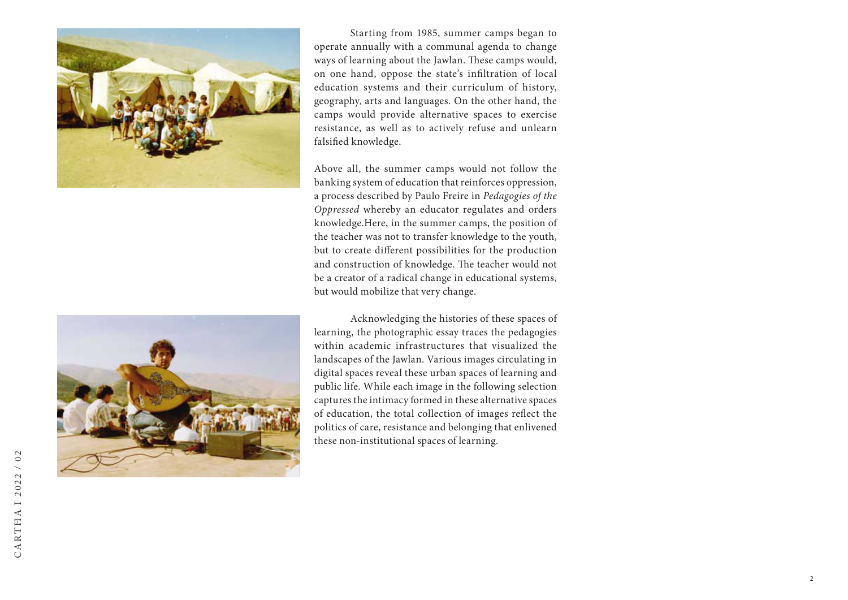



Starting from 1985, summer camps began to operate annually with a communal agenda to change ways of learning about the Jawlan. These camps would, on one hand, oppose the state's infiltration of local education systems and their curriculum of history, geography, arts and languages. On the other hand, the camps would provide alternative spaces to exercise resistance, as well as to actively refuse and unlearn falsified knowledge.

Above all, the summer camps would not follow the banking system of education that reinforces oppression, a process described by Paulo Freire in *Pedagogies of the Oppressed* whereby an educator regulates and orders knowledge.Here, in the summer camps, the position of the teacher was not to transfer knowledge to the youth, but to create different possibilities for the production and construction of knowledge. The teacher would not be a creator of a radical change in educational systems, but would mobilize that very change.

Acknowledging the histories of these spaces of learning, the photographic essay traces the pedagogies within academic infrastructures that visualized the landscapes of the Jawlan. Various images circulating in digital spaces reveal these urban spaces of learning and public life. While each image in the following selection captures the intimacy formed in these alternative spaces of education, the total collection of images reflect the politics of care, resistance and belonging that enlivened these non-institutional spaces of learning.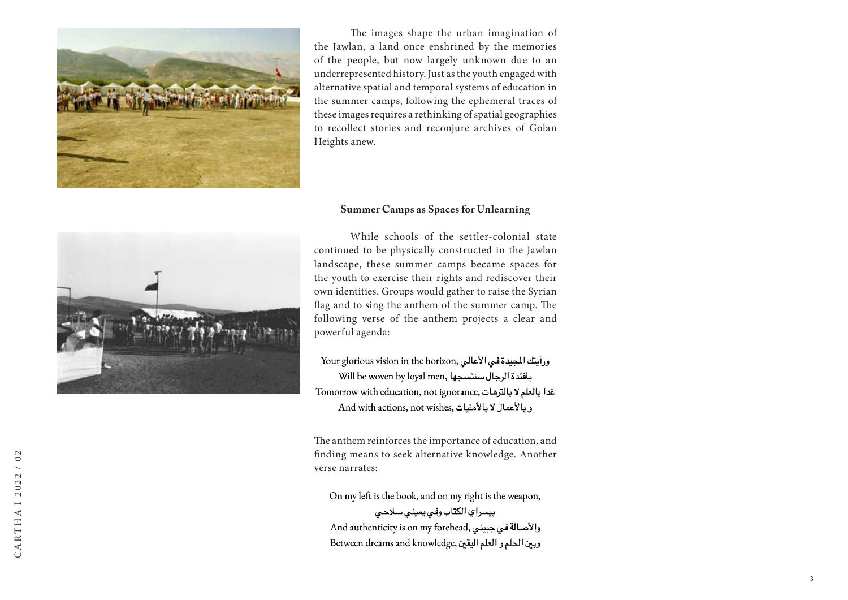

The images shape the urban imagination of the Jawlan, a land once enshrined by the memories of the people, but now largely unknown due to an underrepresented history. Just as the youth engaged with alternative spatial and temporal systems of education in the summer camps, following the ephemeral traces of these images requires a rethinking of spatial geographies to recollect stories and reconjure archives of Golan Heights anew.

## **Summer Camps as Spaces for Unlearning**



While schools of the settler-colonial state continued to be physically constructed in the Jawlan landscape, these summer camps became spaces for the youth to exercise their rights and rediscover their own identities. Groups would gather to raise the Syrian flag and to sing the anthem of the summer camp. The following verse of the anthem projects a clear and powerful agenda:

Your glorious vision in the horizon, ورأيتك المجيدة في الأعالي Will be woven by loyal men, سننسجها Tomorrow with education, not ignorance, غدا بالعلم لا بالترهات And with actions, not wishes, وبالأعمال لا بالأمنيات

The anthem reinforces the importance of education, and finding means to seek alternative knowledge. Another verse narrates:

On my left is the book, and on my right is the weapon, بيسراي الكتاب وفيي يميني سلاحي والأصالة في جبيني ,And authenticity is on my forehead Between dreams and knowledge, ويبن الحلم و العلم اليقين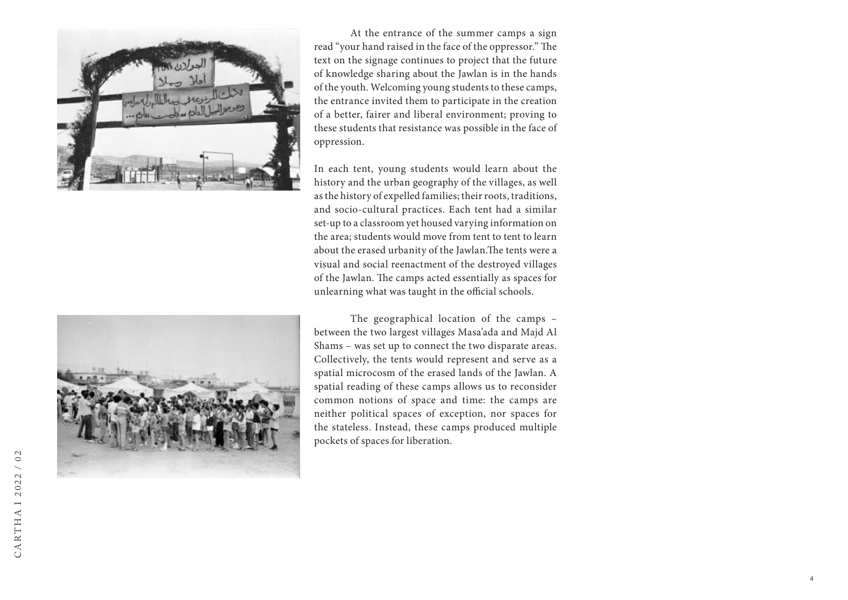



In each tent, young students would learn about the history and the urban geography of the villages, as well as the history of expelled families; their roots, traditions, and socio-cultural practices. Each tent had a similar set-up to a classroom yet housed varying information on the area; students would move from tent to tent to learn about the erased urbanity of the Jawlan.The tents were a visual and social reenactment of the destroyed villages of the Jawlan. The camps acted essentially as spaces for unlearning what was taught in the official schools.



The geographical location of the camps – between the two largest villages Masa'ada and Majd Al Shams – was set up to connect the two disparate areas. Collectively, the tents would represent and serve as a spatial microcosm of the erased lands of the Jawlan. A spatial reading of these camps allows us to reconsider common notions of space and time: the camps are neither political spaces of exception, nor spaces for the stateless. Instead, these camps produced multiple pockets of spaces for liberation.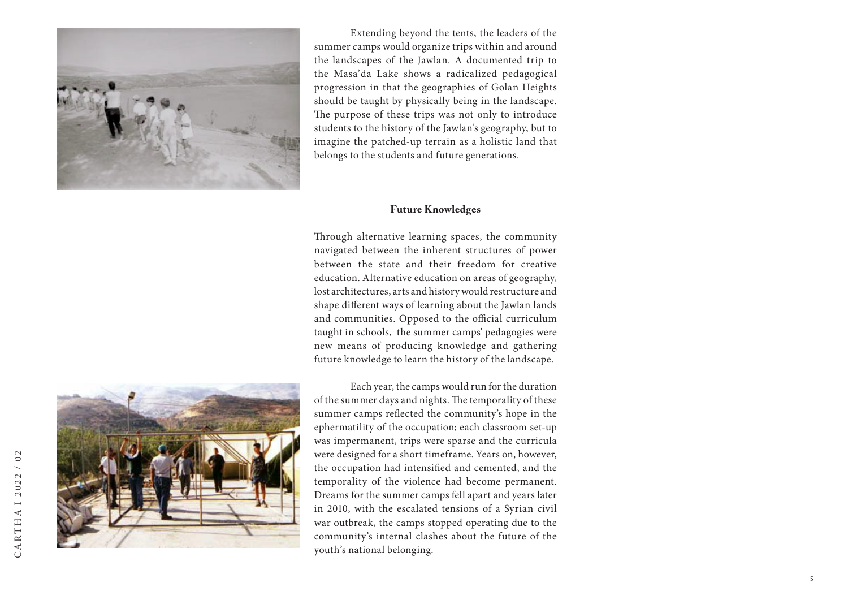

Extending beyond the tents, the leaders of the summer camps would organize trips within and around the landscapes of the Jawlan. A documented trip to the Masa'da Lake shows a radicalized pedagogical progression in that the geographies of Golan Heights should be taught by physically being in the landscape. The purpose of these trips was not only to introduce students to the history of the Jawlan's geography, but to imagine the patched-up terrain as a holistic land that belongs to the students and future generations.

## **Future Knowledges**

Through alternative learning spaces, the community navigated between the inherent structures of power between the state and their freedom for creative education. Alternative education on areas of geography, lost architectures, arts and history would restructure and shape different ways of learning about the Jawlan lands and communities. Opposed to the official curriculum taught in schools, the summer camps' pedagogies were new means of producing knowledge and gathering future knowledge to learn the history of the landscape.



Each year, the camps would run for the duration of the summer days and nights. The temporality of these summer camps reflected the community's hope in the ephermatility of the occupation; each classroom set-up was impermanent, trips were sparse and the curricula were designed for a short timeframe. Years on, however, the occupation had intensified and cemented, and the temporality of the violence had become permanent. Dreams for the summer camps fell apart and years later in 2010, with the escalated tensions of a Syrian civil war outbreak, the camps stopped operating due to the community's internal clashes about the future of the youth's national belonging.